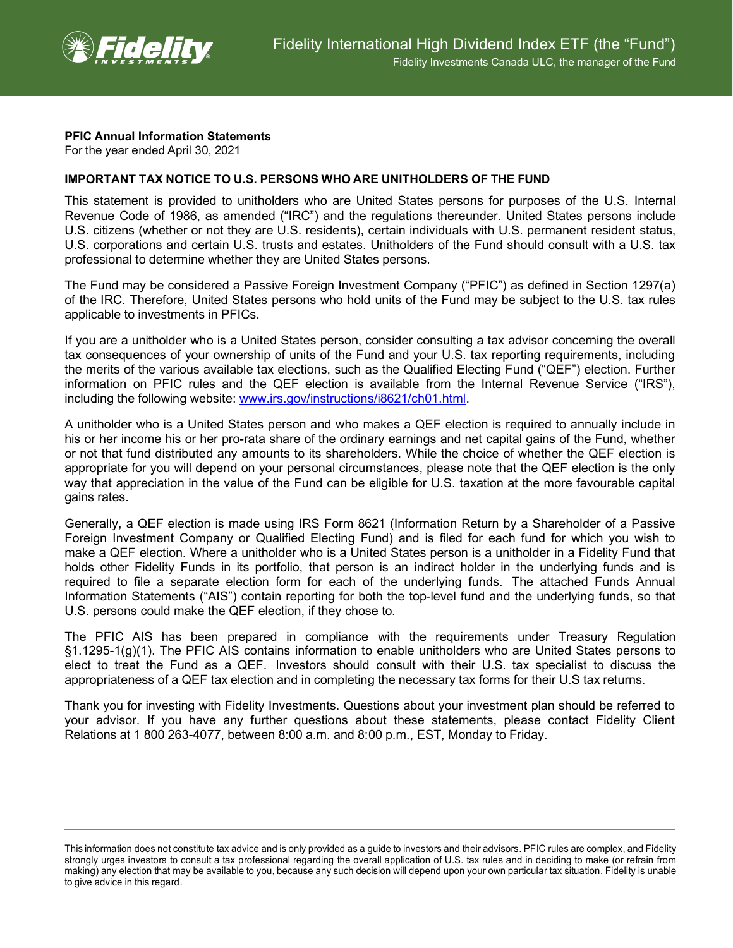

## **PFIC Annual Information Statements**

For the year ended April 30, 2021

## **IMPORTANT TAX NOTICE TO U.S. PERSONS WHO ARE UNITHOLDERS OF THE FUND**

This statement is provided to unitholders who are United States persons for purposes of the U.S. Internal Revenue Code of 1986, as amended ("IRC") and the regulations thereunder. United States persons include U.S. citizens (whether or not they are U.S. residents), certain individuals with U.S. permanent resident status, U.S. corporations and certain U.S. trusts and estates. Unitholders of the Fund should consult with a U.S. tax professional to determine whether they are United States persons.

The Fund may be considered a Passive Foreign Investment Company ("PFIC") as defined in Section 1297(a) of the IRC. Therefore, United States persons who hold units of the Fund may be subject to the U.S. tax rules applicable to investments in PFICs.

If you are a unitholder who is a United States person, consider consulting a tax advisor concerning the overall tax consequences of your ownership of units of the Fund and your U.S. tax reporting requirements, including the merits of the various available tax elections, such as the Qualified Electing Fund ("QEF") election. Further information on PFIC rules and the QEF election is available from the Internal Revenue Service ("IRS"), including the following website: [www.irs.gov/instructions/i8621/ch01.html.](http://www.irs.gov/instructions/i8621/ch01.html)

A unitholder who is a United States person and who makes a QEF election is required to annually include in his or her income his or her pro-rata share of the ordinary earnings and net capital gains of the Fund, whether or not that fund distributed any amounts to its shareholders. While the choice of whether the QEF election is appropriate for you will depend on your personal circumstances, please note that the QEF election is the only way that appreciation in the value of the Fund can be eligible for U.S. taxation at the more favourable capital gains rates.

Generally, a QEF election is made using IRS Form 8621 (Information Return by a Shareholder of a Passive Foreign Investment Company or Qualified Electing Fund) and is filed for each fund for which you wish to make a QEF election. Where a unitholder who is a United States person is a unitholder in a Fidelity Fund that holds other Fidelity Funds in its portfolio, that person is an indirect holder in the underlying funds and is required to file a separate election form for each of the underlying funds. The attached Funds Annual Information Statements ("AIS") contain reporting for both the top-level fund and the underlying funds, so that U.S. persons could make the QEF election, if they chose to.

The PFIC AIS has been prepared in compliance with the requirements under Treasury Regulation §1.1295-1(g)(1). The PFIC AIS contains information to enable unitholders who are United States persons to elect to treat the Fund as a QEF. Investors should consult with their U.S. tax specialist to discuss the appropriateness of a QEF tax election and in completing the necessary tax forms for their U.S tax returns.

Thank you for investing with Fidelity Investments. Questions about your investment plan should be referred to your advisor. If you have any further questions about these statements, please contact Fidelity Client Relations at 1 800 263-4077, between 8:00 a.m. and 8:00 p.m., EST, Monday to Friday.

This information does not constitute tax advice and is only provided as a guide to investors and their advisors. PFIC rules are complex, and Fidelity strongly urges investors to consult a tax professional regarding the overall application of U.S. tax rules and in deciding to make (or refrain from making) any election that may be available to you, because any such decision will depend upon your own particular tax situation. Fidelity is unable to give advice in this regard.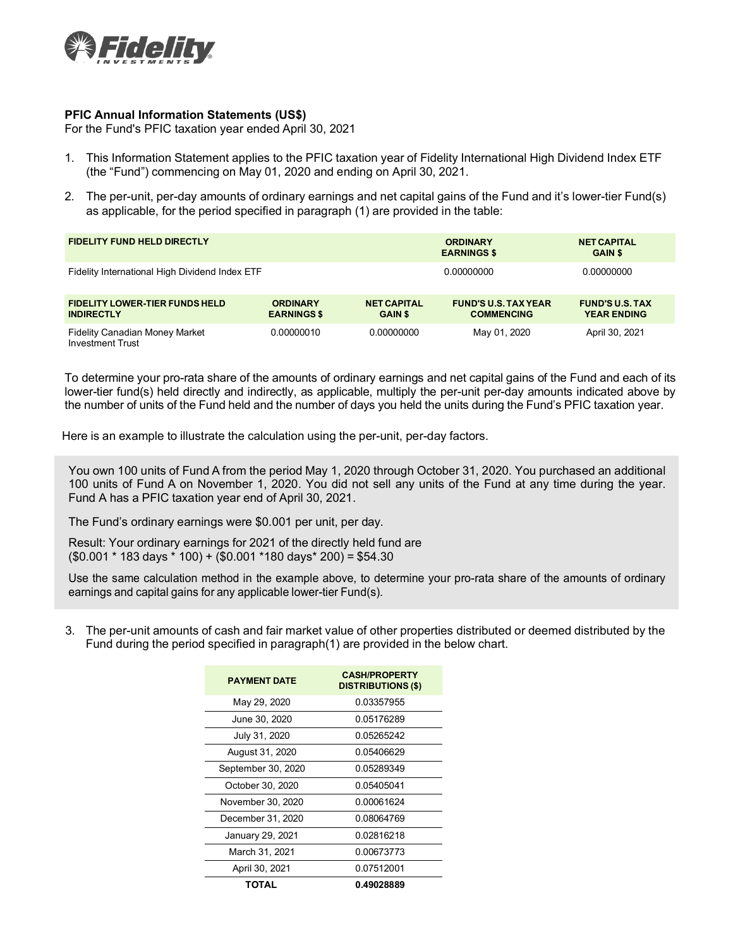

## **PFIC Annual Information Statements (US\$)**

For the Fund's PFIC taxation year ended April 30, 2021

- 1. This Information Statement applies to the PFIC taxation year of Fidelity International High Dividend Index ETF (the "Fund") commencing on May 01, 2020 and ending on April 30, 2021.
- 2. The per-unit, per-day amounts of ordinary earnings and net capital gains of the Fund and it's lower-tier Fund(s) as applicable, for the period specified in paragraph (1) are provided in the table:

| <b>FIDELITY FUND HELD DIRECTLY</b>                               |                                       |                                      | <b>ORDINARY</b><br><b>EARNINGS \$</b>            | <b>NET CAPITAL</b><br><b>GAIN \$</b>         |  |
|------------------------------------------------------------------|---------------------------------------|--------------------------------------|--------------------------------------------------|----------------------------------------------|--|
| Fidelity International High Dividend Index ETF                   |                                       |                                      | 0.00000000                                       | 0.00000000                                   |  |
| <b>FIDELITY LOWER-TIER FUNDS HELD</b><br><b>INDIRECTLY</b>       | <b>ORDINARY</b><br><b>EARNINGS \$</b> | <b>NET CAPITAL</b><br><b>GAIN \$</b> | <b>FUND'S U.S. TAX YEAR</b><br><b>COMMENCING</b> | <b>FUND'S U.S. TAX</b><br><b>YEAR ENDING</b> |  |
| <b>Fidelity Canadian Money Market</b><br><b>Investment Trust</b> | 0.00000010                            | 0.00000000                           | May 01, 2020                                     | April 30, 2021                               |  |

To determine your pro-rata share of the amounts of ordinary earnings and net capital gains of the Fund and each of its lower-tier fund(s) held directly and indirectly, as applicable, multiply the per-unit per-day amounts indicated above by the number of units of the Fund held and the number of days you held the units during the Fund's PFIC taxation year.

Here is an example to illustrate the calculation using the per-unit, per-day factors.

You own 100 units of Fund A from the period May 1, 2020 through October 31, 2020. You purchased an additional 100 units of Fund A on November 1, 2020. You did not sell any units of the Fund at any time during the year. Fund A has a PFIC taxation year end of April 30, 2021.

The Fund's ordinary earnings were \$0.001 per unit, per day.

Result: Your ordinary earnings for 2021 of the directly held fund are (\$0.001 \* 183 days \* 100) + (\$0.001 \*180 days\* 200) = \$54.30

Use the same calculation method in the example above, to determine your pro-rata share of the amounts of ordinary earnings and capital gains for any applicable lower-tier Fund(s).

3. The per-unit amounts of cash and fair market value of other properties distributed or deemed distributed by the Fund during the period specified in paragraph(1) are provided in the below chart.

| <b>PAYMENT DATE</b> | <b>CASH/PROPERTY</b><br><b>DISTRIBUTIONS (\$)</b> |  |  |
|---------------------|---------------------------------------------------|--|--|
| May 29, 2020        | 0.03357955                                        |  |  |
| June 30, 2020       | 0.05176289                                        |  |  |
| July 31, 2020       | 0.05265242                                        |  |  |
| August 31, 2020     | 0.05406629                                        |  |  |
| September 30, 2020  | 0.05289349                                        |  |  |
| October 30, 2020    | 0.05405041                                        |  |  |
| November 30, 2020   | 0.00061624                                        |  |  |
| December 31, 2020   | 0.08064769                                        |  |  |
| January 29, 2021    | 0.02816218                                        |  |  |
| March 31, 2021      | 0.00673773                                        |  |  |
| April 30, 2021      | 0.07512001                                        |  |  |
| TOTAL               | 0.49028889                                        |  |  |